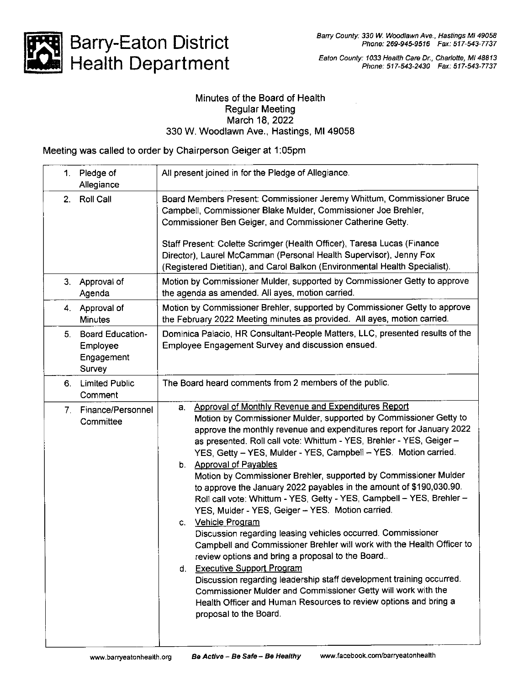Barry County: 330 W. Woodlawn Ave., Hastings MI 49058 Phone: 269-945-9516 Fax: 517-543-7737



# Barry-Eaton District Health Department

Eaton County: 1033 Health Care Dr., Charlofte, Ml 48813 Phone: 517-543-2430 Fax: 517-543-7737

#### Minutes of the Board of Health Regular Meeting March 18,2022 330 W. Woodlawn Ave., Hastings, Ml 49058

Meeting was called to order by Chairperson Geiger at 1:05pm

| Pledge of<br>1.<br>Allegiance                                     | All present joined in for the Pledge of Allegiance.                                                                                                                                                                                                                                                                                                                                                                                                                                                                                                                                                                                                                                                                                                                                                                                                                                                                                                                                                                                                                                                                                              |
|-------------------------------------------------------------------|--------------------------------------------------------------------------------------------------------------------------------------------------------------------------------------------------------------------------------------------------------------------------------------------------------------------------------------------------------------------------------------------------------------------------------------------------------------------------------------------------------------------------------------------------------------------------------------------------------------------------------------------------------------------------------------------------------------------------------------------------------------------------------------------------------------------------------------------------------------------------------------------------------------------------------------------------------------------------------------------------------------------------------------------------------------------------------------------------------------------------------------------------|
| 2.<br><b>Roll Call</b>                                            | Board Members Present: Commissioner Jeremy Whittum, Commissioner Bruce<br>Campbell, Commissioner Blake Mulder, Commissioner Joe Brehler,<br>Commissioner Ben Geiger, and Commissioner Catherine Getty.<br>Staff Present: Colette Scrimger (Health Officer), Taresa Lucas (Finance<br>Director), Laurel McCamman (Personal Health Supervisor), Jenny Fox<br>(Registered Dietitian), and Carol Balkon (Environmental Health Specialist).                                                                                                                                                                                                                                                                                                                                                                                                                                                                                                                                                                                                                                                                                                           |
| Approval of<br>3.<br>Agenda                                       | Motion by Commissioner Mulder, supported by Commissioner Getty to approve<br>the agenda as amended. All ayes, motion carried.                                                                                                                                                                                                                                                                                                                                                                                                                                                                                                                                                                                                                                                                                                                                                                                                                                                                                                                                                                                                                    |
| 4. Approval of<br><b>Minutes</b>                                  | Motion by Commissioner Brehler, supported by Commissioner Getty to approve<br>the February 2022 Meeting minutes as provided. All ayes, motion carried.                                                                                                                                                                                                                                                                                                                                                                                                                                                                                                                                                                                                                                                                                                                                                                                                                                                                                                                                                                                           |
| <b>Board Education-</b><br>5.<br>Employee<br>Engagement<br>Survey | Dominica Palacio, HR Consultant-People Matters, LLC, presented results of the<br>Employee Engagement Survey and discussion ensued.                                                                                                                                                                                                                                                                                                                                                                                                                                                                                                                                                                                                                                                                                                                                                                                                                                                                                                                                                                                                               |
| <b>Limited Public</b><br>6.<br>Comment                            | The Board heard comments from 2 members of the public.                                                                                                                                                                                                                                                                                                                                                                                                                                                                                                                                                                                                                                                                                                                                                                                                                                                                                                                                                                                                                                                                                           |
| 7. Finance/Personnel<br>Committee                                 | a. Approval of Monthly Revenue and Expenditures Report<br>Motion by Commissioner Mulder, supported by Commissioner Getty to<br>approve the monthly revenue and expenditures report for January 2022<br>as presented. Roll call vote: Whittum - YES, Brehler - YES, Geiger -<br>YES, Getty - YES, Mulder - YES, Campbell - YES. Motion carried.<br>b. Approval of Payables<br>Motion by Commissioner Brehler, supported by Commissioner Mulder<br>to approve the January 2022 payables in the amount of \$190,030.90.<br>Roll call vote: Whittum - YES, Getty - YES, Campbell - YES, Brehler -<br>YES, Mulder - YES, Geiger - YES. Motion carried.<br>Vehicle Program<br>C.<br>Discussion regarding leasing vehicles occurred. Commissioner<br>Campbell and Commissioner Brehler will work with the Health Officer to<br>review options and bring a proposal to the Board.<br>d. Executive Support Program<br>Discussion regarding leadership staff development training occurred.<br>Commissioner Mulder and Commissioner Getty will work with the<br>Health Officer and Human Resources to review options and bring a<br>proposal to the Board. |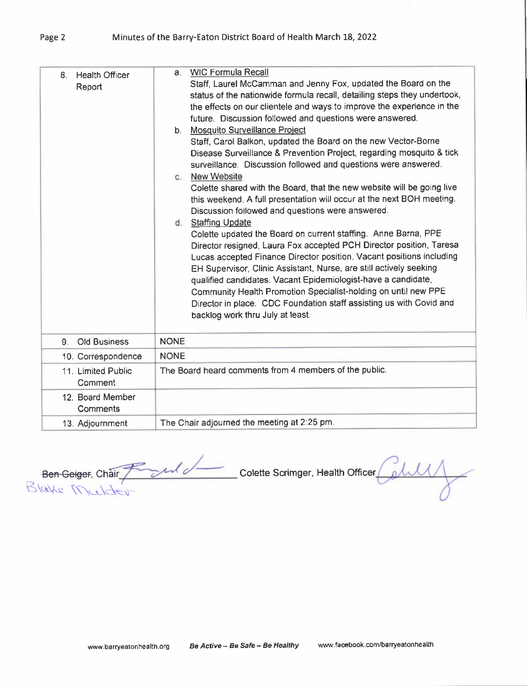| <b>Health Officer</b><br>8.<br>Report | <b>WIC Formula Recall</b><br>a.<br>Staff, Laurel McCamman and Jenny Fox, updated the Board on the<br>status of the nationwide formula recall, detailing steps they undertook,<br>the effects on our clientele and ways to improve the experience in the<br>future. Discussion followed and questions were answered.<br>b. Mosquito Surveillance Project<br>Staff, Carol Balkon, updated the Board on the new Vector-Borne<br>Disease Surveillance & Prevention Project, regarding mosquito & tick<br>surveillance. Discussion followed and questions were answered.<br><b>New Website</b><br>C.<br>Colette shared with the Board, that the new website will be going live<br>this weekend. A full presentation will occur at the next BOH meeting.<br>Discussion followed and questions were answered.<br>d. Staffing Update<br>Colette updated the Board on current staffing. Anne Barna, PPE<br>Director resigned, Laura Fox accepted PCH Director position, Taresa<br>Lucas accepted Finance Director position. Vacant positions including<br>EH Supervisor, Clinic Assistant, Nurse, are still actively seeking<br>qualified candidates. Vacant Epidemiologist-have a candidate,<br>Community Health Promotion Specialist-holding on until new PPE<br>Director in place. CDC Foundation staff assisting us with Covid and<br>backlog work thru July at least. |
|---------------------------------------|-------------------------------------------------------------------------------------------------------------------------------------------------------------------------------------------------------------------------------------------------------------------------------------------------------------------------------------------------------------------------------------------------------------------------------------------------------------------------------------------------------------------------------------------------------------------------------------------------------------------------------------------------------------------------------------------------------------------------------------------------------------------------------------------------------------------------------------------------------------------------------------------------------------------------------------------------------------------------------------------------------------------------------------------------------------------------------------------------------------------------------------------------------------------------------------------------------------------------------------------------------------------------------------------------------------------------------------------------------------------|
| <b>Old Business</b><br>$9-$           | <b>NONE</b>                                                                                                                                                                                                                                                                                                                                                                                                                                                                                                                                                                                                                                                                                                                                                                                                                                                                                                                                                                                                                                                                                                                                                                                                                                                                                                                                                       |
| 10. Correspondence                    | <b>NONE</b>                                                                                                                                                                                                                                                                                                                                                                                                                                                                                                                                                                                                                                                                                                                                                                                                                                                                                                                                                                                                                                                                                                                                                                                                                                                                                                                                                       |
| 11. Limited Public<br>Comment         | The Board heard comments from 4 members of the public.                                                                                                                                                                                                                                                                                                                                                                                                                                                                                                                                                                                                                                                                                                                                                                                                                                                                                                                                                                                                                                                                                                                                                                                                                                                                                                            |
| 12. Board Member<br>Comments          |                                                                                                                                                                                                                                                                                                                                                                                                                                                                                                                                                                                                                                                                                                                                                                                                                                                                                                                                                                                                                                                                                                                                                                                                                                                                                                                                                                   |
| 13. Adjournment                       | The Chair adjourned the meeting at 2:25 pm.                                                                                                                                                                                                                                                                                                                                                                                                                                                                                                                                                                                                                                                                                                                                                                                                                                                                                                                                                                                                                                                                                                                                                                                                                                                                                                                       |

<del>Ben-Geiger</del>, Chàir Blake Michder Colette Scrimger, Health Officer

Page 2